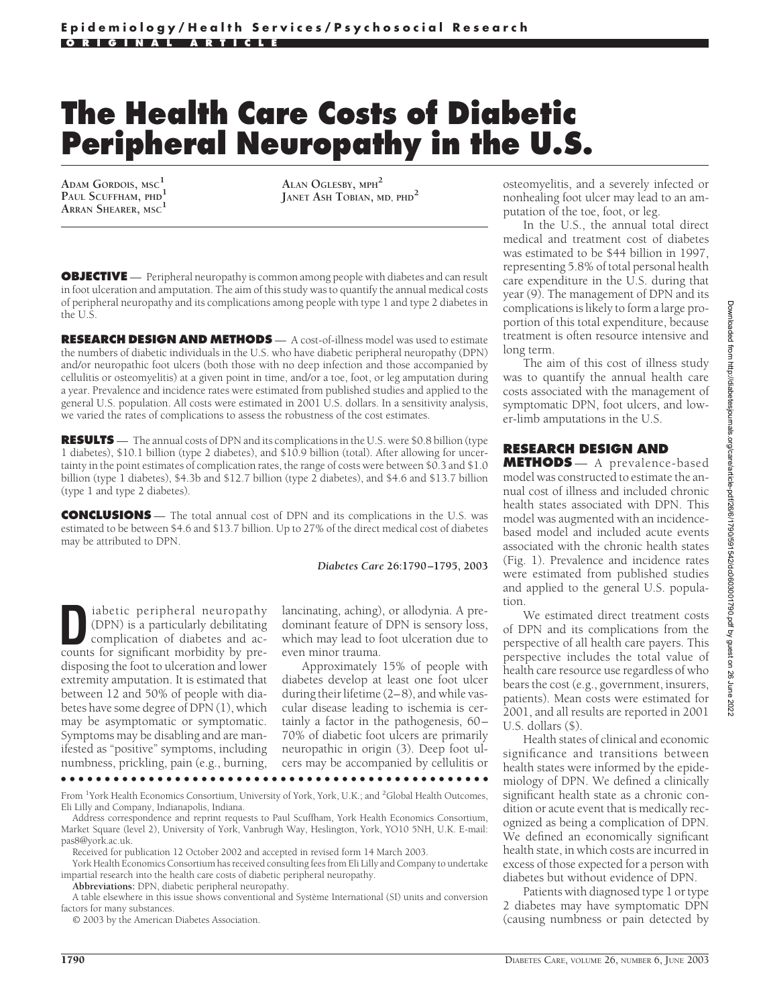# **The Health Care Costs of Diabetic Peripheral Neuropathy in the U.S.**

**ADAM GORDOIS, MSC<sup>1</sup> PAUL SCUFFHAM, PHD<sup>1</sup> ARRAN SHEARER, MSC<sup>1</sup>**

**ALAN OGLESBY, MPH<sup>2</sup> JANET ASH TOBIAN, MD, PHD<sup>2</sup>**

**OBJECTIVE** — Peripheral neuropathy is common among people with diabetes and can result in foot ulceration and amputation. The aim of this study was to quantify the annual medical costs of peripheral neuropathy and its complications among people with type 1 and type 2 diabetes in the U.S.

**RESEARCH DESIGN AND METHODS** — A cost-of-illness model was used to estimate the numbers of diabetic individuals in the U.S. who have diabetic peripheral neuropathy (DPN) and/or neuropathic foot ulcers (both those with no deep infection and those accompanied by cellulitis or osteomyelitis) at a given point in time, and/or a toe, foot, or leg amputation during a year. Prevalence and incidence rates were estimated from published studies and applied to the general U.S. population. All costs were estimated in 2001 U.S. dollars. In a sensitivity analysis, we varied the rates of complications to assess the robustness of the cost estimates.

**RESULTS** — The annual costs of DPN and its complications in the U.S. were \$0.8 billion (type 1 diabetes), \$10.1 billion (type 2 diabetes), and \$10.9 billion (total). After allowing for uncertainty in the point estimates of complication rates, the range of costs were between \$0.3 and \$1.0 billion (type 1 diabetes), \$4.3b and \$12.7 billion (type 2 diabetes), and \$4.6 and \$13.7 billion (type 1 and type 2 diabetes).

**CONCLUSIONS** — The total annual cost of DPN and its complications in the U.S. was estimated to be between \$4.6 and \$13.7 billion. Up to 27% of the direct medical cost of diabetes may be attributed to DPN.

#### *Diabetes Care* **26:1790–1795, 2003**

**D**iabetic peripheral neuropathy<br>
(DPN) is a particularly debilitating<br>
complication of diabetes and ac-<br>
counts for significant morbidity by pre-(DPN) is a particularly debilitating counts for significant morbidity by predisposing the foot to ulceration and lower extremity amputation. It is estimated that between 12 and 50% of people with diabetes have some degree of DPN (1), which may be asymptomatic or symptomatic. Symptoms may be disabling and are manifested as "positive" symptoms, including numbness, prickling, pain (e.g., burning,

lancinating, aching), or allodynia. A predominant feature of DPN is sensory loss, which may lead to foot ulceration due to even minor trauma.

Approximately 15% of people with diabetes develop at least one foot ulcer during their lifetime (2–8), and while vascular disease leading to ischemia is certainly a factor in the pathogenesis, 60– 70% of diabetic foot ulcers are primarily neuropathic in origin (3). Deep foot ulcers may be accompanied by cellulitis or

●●●●●●●●●●●●●●●●●●●●●●●●●●●●●●●●●●●●●●●●●●●●●●●●●

From <sup>1</sup>York Health Economics Consortium, University of York, York, U.K.; and <sup>2</sup>Global Health Outcomes, Eli Lilly and Company, Indianapolis, Indiana.

Address correspondence and reprint requests to Paul Scuffham, York Health Economics Consortium, Market Square (level 2), University of York, Vanbrugh Way, Heslington, York, YO10 5NH, U.K. E-mail: pas8@york.ac.uk.

Received for publication 12 October 2002 and accepted in revised form 14 March 2003.

York Health Economics Consortium has received consulting fees from Eli Lilly and Company to undertake impartial research into the health care costs of diabetic peripheral neuropathy.

**Abbreviations:** DPN, diabetic peripheral neuropathy.

A table elsewhere in this issue shows conventional and Système International (SI) units and conversion factors for many substances.

© 2003 by the American Diabetes Association.

osteomyelitis, and a severely infected or nonhealing foot ulcer may lead to an amputation of the toe, foot, or leg.

In the U.S., the annual total direct medical and treatment cost of diabetes was estimated to be \$44 billion in 1997, representing 5.8% of total personal health care expenditure in the U.S. during that year (9). The management of DPN and its complications is likely to form a large proportion of this total expenditure, because treatment is often resource intensive and long term.

The aim of this cost of illness study was to quantify the annual health care costs associated with the management of symptomatic DPN, foot ulcers, and lower-limb amputations in the U.S.

#### **RESEARCH DESIGN AND**

**METHODS** — A prevalence-based model was constructed to estimate the annual cost of illness and included chronic health states associated with DPN. This model was augmented with an incidencebased model and included acute events associated with the chronic health states (Fig. 1). Prevalence and incidence rates were estimated from published studies and applied to the general U.S. population.

We estimated direct treatment costs of DPN and its complications from the perspective of all health care payers. This perspective includes the total value of health care resource use regardless of who bears the cost (e.g., government, insurers, patients). Mean costs were estimated for 2001, and all results are reported in 2001 U.S. dollars (\$).

Health states of clinical and economic significance and transitions between health states were informed by the epidemiology of DPN. We defined a clinically significant health state as a chronic condition or acute event that is medically recognized as being a complication of DPN. We defined an economically significant health state, in which costs are incurred in excess of those expected for a person with diabetes but without evidence of DPN.

Patients with diagnosed type 1 or type 2 diabetes may have symptomatic DPN (causing numbness or pain detected by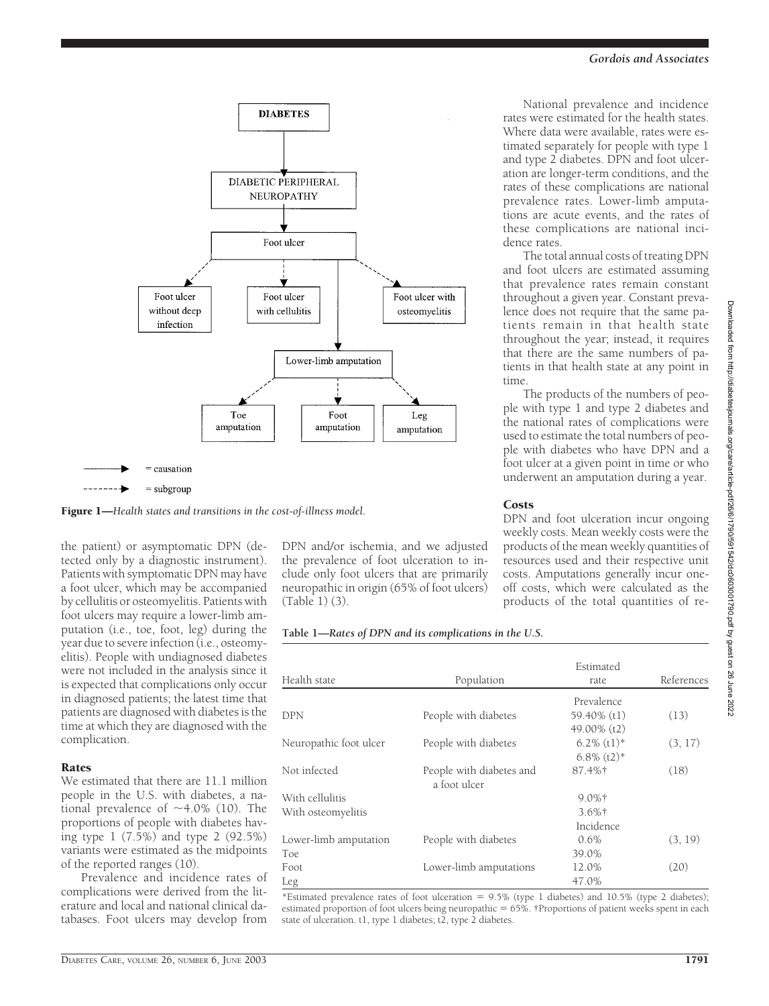

Figure 1—*Health states and transitions in the cost-of-illness model.*

the patient) or asymptomatic DPN (detected only by a diagnostic instrument). Patients with symptomatic DPN may have a foot ulcer, which may be accompanied by cellulitis or osteomyelitis. Patients with foot ulcers may require a lower-limb amputation (i.e., toe, foot, leg) during the year due to severe infection (i.e., osteomyelitis). People with undiagnosed diabetes were not included in the analysis since it is expected that complications only occur in diagnosed patients; the latest time that patients are diagnosed with diabetes is the time at which they are diagnosed with the complication.

# Rates

We estimated that there are 11.1 million people in the U.S. with diabetes, a national prevalence of  $~10\%$  (10). The proportions of people with diabetes having type 1 (7.5%) and type 2 (92.5%) variants were estimated as the midpoints of the reported ranges (10).

Prevalence and incidence rates of complications were derived from the literature and local and national clinical databases. Foot ulcers may develop from

DPN and/or ischemia, and we adjusted the prevalence of foot ulceration to include only foot ulcers that are primarily neuropathic in origin (65% of foot ulcers) (Table 1) (3).

| Health state           | Population               | Estimated<br>rate         | References |
|------------------------|--------------------------|---------------------------|------------|
|                        |                          |                           |            |
|                        |                          | Prevalence                |            |
| <b>DPN</b>             | People with diabetes     | 59.40% (t1)               | (13)       |
|                        |                          | 49.00% (t2)               |            |
| Neuropathic foot ulcer | People with diabetes     | $6.2\%$ (t1)*             | (3, 17)    |
|                        |                          | $6.8\%$ (t2) <sup>*</sup> |            |
| Not infected           | People with diabetes and | 87.4%†                    | (18)       |
|                        | a foot ulcer             |                           |            |
| With cellulitis        |                          | $9.0\%$ †                 |            |
| With osteomyelitis     |                          | $3.6\%$ †                 |            |
|                        |                          | Incidence                 |            |
| Lower-limb amputation  | People with diabetes     | $0.6\%$                   | (3, 19)    |
| Toe                    |                          | 39.0%                     |            |
| Foot                   | Lower-limb amputations   | 12.0%                     | (20)       |
| Leg                    |                          | 47.0%                     |            |

\*Estimated prevalence rates of foot ulceration  $= 9.5\%$  (type 1 diabetes) and 10.5% (type 2 diabetes); estimated proportion of foot ulcers being neuropathic = 65%. †Proportions of patient weeks spent in each state of ulceration. t1, type 1 diabetes; t2, type 2 diabetes.

National prevalence and incidence rates were estimated for the health states. Where data were available, rates were estimated separately for people with type 1 and type 2 diabetes. DPN and foot ulceration are longer-term conditions, and the rates of these complications are national prevalence rates. Lower-limb amputations are acute events, and the rates of these complications are national incidence rates.

The total annual costs of treating DPN and foot ulcers are estimated assuming that prevalence rates remain constant throughout a given year. Constant prevalence does not require that the same patients remain in that health state throughout the year; instead, it requires that there are the same numbers of patients in that health state at any point in time.

The products of the numbers of people with type 1 and type 2 diabetes and the national rates of complications were used to estimate the total numbers of people with diabetes who have DPN and a foot ulcer at a given point in time or who underwent an amputation during a year.

# **Costs**

DPN and foot ulceration incur ongoing weekly costs. Mean weekly costs were the products of the mean weekly quantities of resources used and their respective unit costs. Amputations generally incur oneoff costs, which were calculated as the products of the total quantities of re-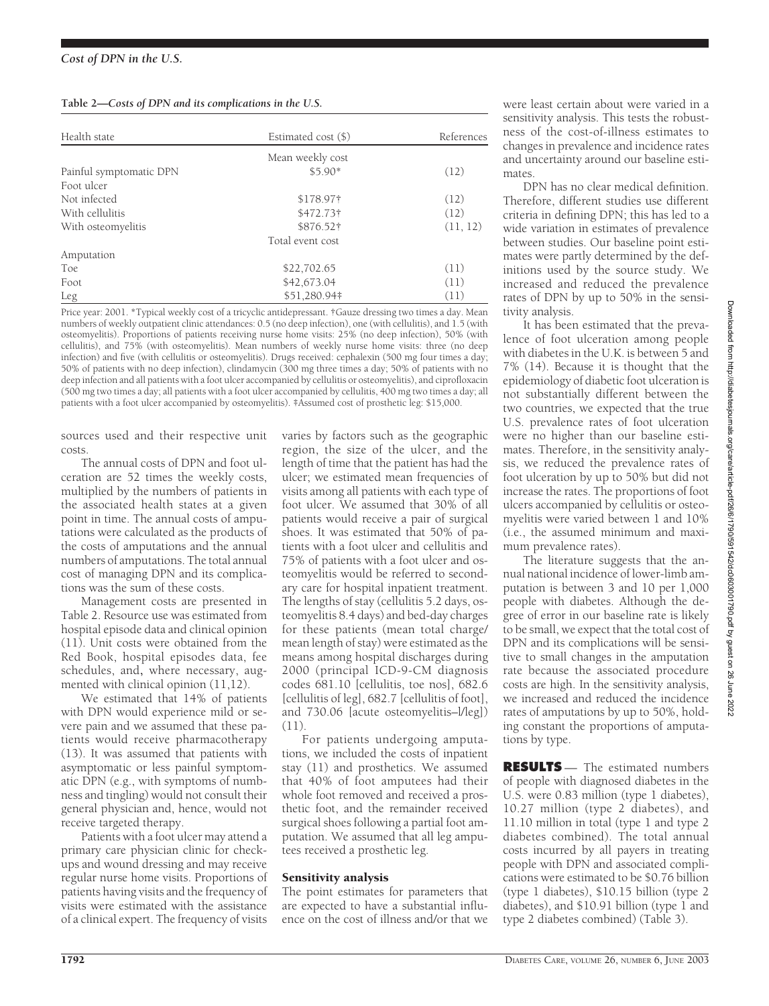#### *Cost of DPN in the U.S.*

| Health state            | Estimated cost (\$) | References |  |
|-------------------------|---------------------|------------|--|
|                         | Mean weekly cost    |            |  |
| Painful symptomatic DPN | $$5.90*$            | (12)       |  |
| Foot ulcer              |                     |            |  |
| Not infected            | \$178.97†           | (12)       |  |
| With cellulitis         | \$472.731           | (12)       |  |
| With osteomyelitis      | \$876.52†           | (11, 12)   |  |
|                         | Total event cost    |            |  |
| Amputation              |                     |            |  |
| Toe                     | \$22,702.65         | (11)       |  |
| Foot                    | \$42,673.04         | (11)       |  |
| Leg                     | \$51,280.94#        | (11)       |  |

Price year: 2001. \*Typical weekly cost of a tricyclic antidepressant. †Gauze dressing two times a day. Mean numbers of weekly outpatient clinic attendances: 0.5 (no deep infection), one (with cellulitis), and 1.5 (with osteomyelitis). Proportions of patients receiving nurse home visits: 25% (no deep infection), 50% (with cellulitis), and 75% (with osteomyelitis). Mean numbers of weekly nurse home visits: three (no deep infection) and five (with cellulitis or osteomyelitis). Drugs received: cephalexin (500 mg four times a day; 50% of patients with no deep infection), clindamycin (300 mg three times a day; 50% of patients with no deep infection and all patients with a foot ulcer accompanied by cellulitis or osteomyelitis), and ciprofloxacin (500 mg two times a day; all patients with a foot ulcer accompanied by cellulitis, 400 mg two times a day; all patients with a foot ulcer accompanied by osteomyelitis). ‡Assumed cost of prosthetic leg: \$15,000.

sources used and their respective unit costs.

The annual costs of DPN and foot ulceration are 52 times the weekly costs, multiplied by the numbers of patients in the associated health states at a given point in time. The annual costs of amputations were calculated as the products of the costs of amputations and the annual numbers of amputations. The total annual cost of managing DPN and its complications was the sum of these costs.

Management costs are presented in Table 2. Resource use was estimated from hospital episode data and clinical opinion (11). Unit costs were obtained from the Red Book, hospital episodes data, fee schedules, and**,** where necessary, augmented with clinical opinion (11,12).

We estimated that 14% of patients with DPN would experience mild or severe pain and we assumed that these patients would receive pharmacotherapy (13). It was assumed that patients with asymptomatic or less painful symptomatic DPN (e.g., with symptoms of numbness and tingling) would not consult their general physician and, hence, would not receive targeted therapy.

Patients with a foot ulcer may attend a primary care physician clinic for checkups and wound dressing and may receive regular nurse home visits. Proportions of patients having visits and the frequency of visits were estimated with the assistance of a clinical expert. The frequency of visits

varies by factors such as the geographic region, the size of the ulcer, and the length of time that the patient has had the ulcer; we estimated mean frequencies of visits among all patients with each type of foot ulcer. We assumed that 30% of all patients would receive a pair of surgical shoes. It was estimated that 50% of patients with a foot ulcer and cellulitis and 75% of patients with a foot ulcer and osteomyelitis would be referred to secondary care for hospital inpatient treatment. The lengths of stay (cellulitis 5.2 days, osteomyelitis 8.4 days) and bed-day charges for these patients (mean total charge/ mean length of stay) were estimated as the means among hospital discharges during 2000 (principal ICD-9-CM diagnosis codes 681.10 [cellulitis, toe nos], 682.6 [cellulitis of leg], 682.7 [cellulitis of foot], and 730.06 [acute osteomyelitis–l/leg]) (11).

For patients undergoing amputations, we included the costs of inpatient stay (11) and prosthetics. We assumed that 40% of foot amputees had their whole foot removed and received a prosthetic foot, and the remainder received surgical shoes following a partial foot amputation. We assumed that all leg amputees received a prosthetic leg.

# Sensitivity analysis

The point estimates for parameters that are expected to have a substantial influence on the cost of illness and/or that we

were least certain about were varied in a sensitivity analysis. This tests the robustness of the cost-of-illness estimates to changes in prevalence and incidence rates and uncertainty around our baseline estimates.

DPN has no clear medical definition. Therefore, different studies use different criteria in defining DPN; this has led to a wide variation in estimates of prevalence between studies. Our baseline point estimates were partly determined by the definitions used by the source study. We increased and reduced the prevalence rates of DPN by up to 50% in the sensitivity analysis.

It has been estimated that the prevalence of foot ulceration among people with diabetes in the U.K. is between 5 and 7% (14). Because it is thought that the epidemiology of diabetic foot ulceration is not substantially different between the two countries, we expected that the true U.S. prevalence rates of foot ulceration were no higher than our baseline estimates. Therefore, in the sensitivity analysis, we reduced the prevalence rates of foot ulceration by up to 50% but did not increase the rates. The proportions of foot ulcers accompanied by cellulitis or osteomyelitis were varied between 1 and 10% (i.e., the assumed minimum and maximum prevalence rates).

The literature suggests that the annual national incidence of lower-limb amputation is between 3 and 10 per 1,000 people with diabetes. Although the degree of error in our baseline rate is likely to be small, we expect that the total cost of DPN and its complications will be sensitive to small changes in the amputation rate because the associated procedure costs are high. In the sensitivity analysis, we increased and reduced the incidence rates of amputations by up to 50%, holding constant the proportions of amputations by type.

**RESULTS** — The estimated numbers of people with diagnosed diabetes in the U.S. were 0.83 million (type 1 diabetes), 10.27 million (type 2 diabetes), and 11.10 million in total (type 1 and type 2 diabetes combined). The total annual costs incurred by all payers in treating people with DPN and associated complications were estimated to be \$0.76 billion (type 1 diabetes), \$10.15 billion (type 2 diabetes), and \$10.91 billion (type 1 and type 2 diabetes combined) (Table 3).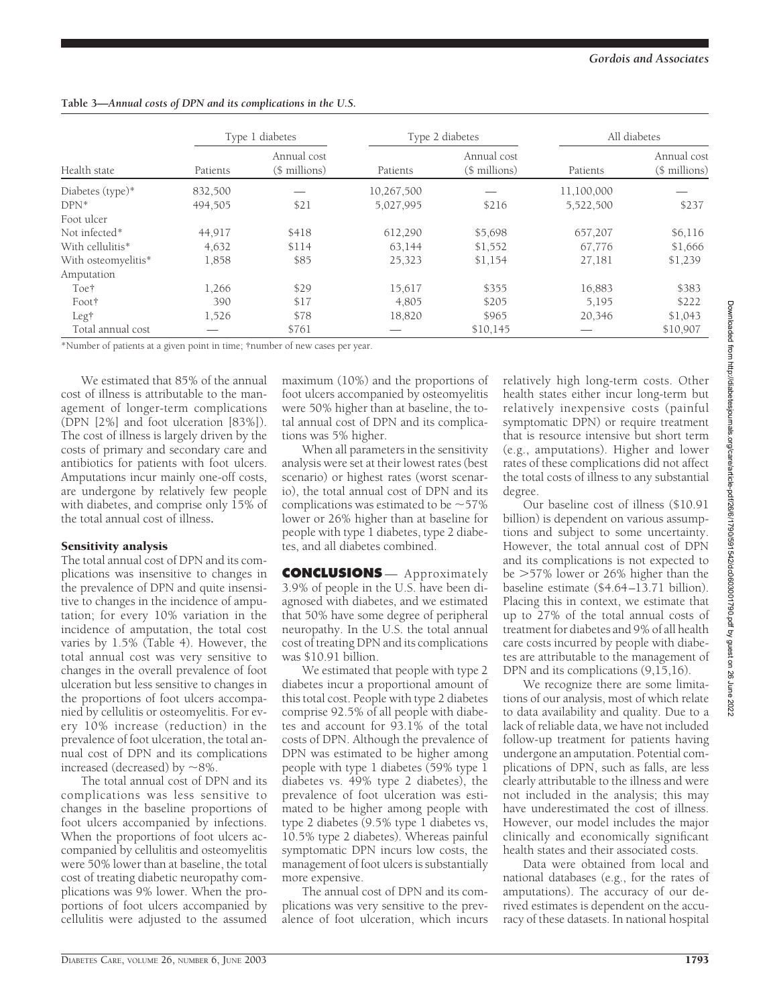| Health state        | Type 1 diabetes |                              | Type 2 diabetes |                              | All diabetes |                              |
|---------------------|-----------------|------------------------------|-----------------|------------------------------|--------------|------------------------------|
|                     | Patients        | Annual cost<br>(\$ millions) | Patients        | Annual cost<br>(\$ millions) | Patients     | Annual cost<br>(\$ millions) |
| Diabetes (type) $*$ | 832,500         |                              | 10,267,500      |                              | 11,100,000   |                              |
| $DPN*$              | 494.505         | \$21                         | 5,027,995       | \$216                        | 5,522,500    | \$237                        |
| Foot ulcer          |                 |                              |                 |                              |              |                              |
| Not infected*       | 44,917          | \$418                        | 612,290         | \$5,698                      | 657,207      | \$6,116                      |
| With cellulitis*    | 4,632           | \$114                        | 63.144          | \$1,552                      | 67,776       | \$1,666                      |
| With osteomyelitis* | 1,858           | \$85                         | 25,323          | \$1,154                      | 27,181       | \$1,239                      |
| Amputation          |                 |                              |                 |                              |              |                              |
| Toe†                | 1,266           | \$29                         | 15,617          | \$355                        | 16,883       | \$383                        |
| Foot†               | 390             | \$17                         | 4,805           | \$205                        | 5,195        | \$222                        |
| Leg†                | 1,526           | \$78                         | 18,820          | \$965                        | 20,346       | \$1,043                      |
| Total annual cost   |                 | \$761                        |                 | \$10,145                     |              | \$10,907                     |

#### **Table 3—***Annual costs of DPN and its complications in the U.S.*

\*Number of patients at a given point in time; †number of new cases per year.

We estimated that 85% of the annual cost of illness is attributable to the management of longer-term complications (DPN [2%] and foot ulceration [83%]). The cost of illness is largely driven by the costs of primary and secondary care and antibiotics for patients with foot ulcers. Amputations incur mainly one-off costs, are undergone by relatively few people with diabetes, and comprise only 15% of the total annual cost of illness**.**

# Sensitivity analysis

The total annual cost of DPN and its complications was insensitive to changes in the prevalence of DPN and quite insensitive to changes in the incidence of amputation; for every 10% variation in the incidence of amputation, the total cost varies by 1.5% (Table 4). However, the total annual cost was very sensitive to changes in the overall prevalence of foot ulceration but less sensitive to changes in the proportions of foot ulcers accompanied by cellulitis or osteomyelitis. For every 10% increase (reduction) in the prevalence of foot ulceration, the total annual cost of DPN and its complications increased (decreased) by  $\sim$ 8%.

The total annual cost of DPN and its complications was less sensitive to changes in the baseline proportions of foot ulcers accompanied by infections. When the proportions of foot ulcers accompanied by cellulitis and osteomyelitis were 50% lower than at baseline, the total cost of treating diabetic neuropathy complications was 9% lower. When the proportions of foot ulcers accompanied by cellulitis were adjusted to the assumed

maximum (10%) and the proportions of foot ulcers accompanied by osteomyelitis were 50% higher than at baseline, the total annual cost of DPN and its complications was 5% higher.

When all parameters in the sensitivity analysis were set at their lowest rates (best scenario) or highest rates (worst scenario), the total annual cost of DPN and its complications was estimated to be  $\sim$  57% lower or 26% higher than at baseline for people with type 1 diabetes, type 2 diabetes, and all diabetes combined.

**CONCLUSIONS** — Approximately 3.9% of people in the U.S. have been diagnosed with diabetes, and we estimated that 50% have some degree of peripheral neuropathy. In the U.S. the total annual cost of treating DPN and its complications was \$10.91 billion.

We estimated that people with type 2 diabetes incur a proportional amount of this total cost. People with type 2 diabetes comprise 92.5% of all people with diabetes and account for 93.1% of the total costs of DPN. Although the prevalence of DPN was estimated to be higher among people with type 1 diabetes (59% type 1 diabetes vs. 49% type 2 diabetes), the prevalence of foot ulceration was estimated to be higher among people with type 2 diabetes (9.5% type 1 diabetes vs, 10.5% type 2 diabetes). Whereas painful symptomatic DPN incurs low costs, the management of foot ulcers is substantially more expensive.

The annual cost of DPN and its complications was very sensitive to the prevalence of foot ulceration, which incurs relatively high long-term costs. Other health states either incur long-term but relatively inexpensive costs (painful symptomatic DPN) or require treatment that is resource intensive but short term (e.g., amputations). Higher and lower rates of these complications did not affect the total costs of illness to any substantial degree.

Our baseline cost of illness (\$10.91 billion) is dependent on various assumptions and subject to some uncertainty. However, the total annual cost of DPN and its complications is not expected to be 57% lower or 26% higher than the baseline estimate (\$4.64–13.71 billion). Placing this in context, we estimate that up to 27% of the total annual costs of treatment for diabetes and 9% of all health care costs incurred by people with diabetes are attributable to the management of DPN and its complications  $(9,15,16)$ .

We recognize there are some limitations of our analysis, most of which relate to data availability and quality. Due to a lack of reliable data, we have not included follow-up treatment for patients having undergone an amputation. Potential complications of DPN, such as falls, are less clearly attributable to the illness and were not included in the analysis; this may have underestimated the cost of illness. However, our model includes the major clinically and economically significant health states and their associated costs.

Data were obtained from local and national databases (e.g., for the rates of amputations). The accuracy of our derived estimates is dependent on the accuracy of these datasets. In national hospital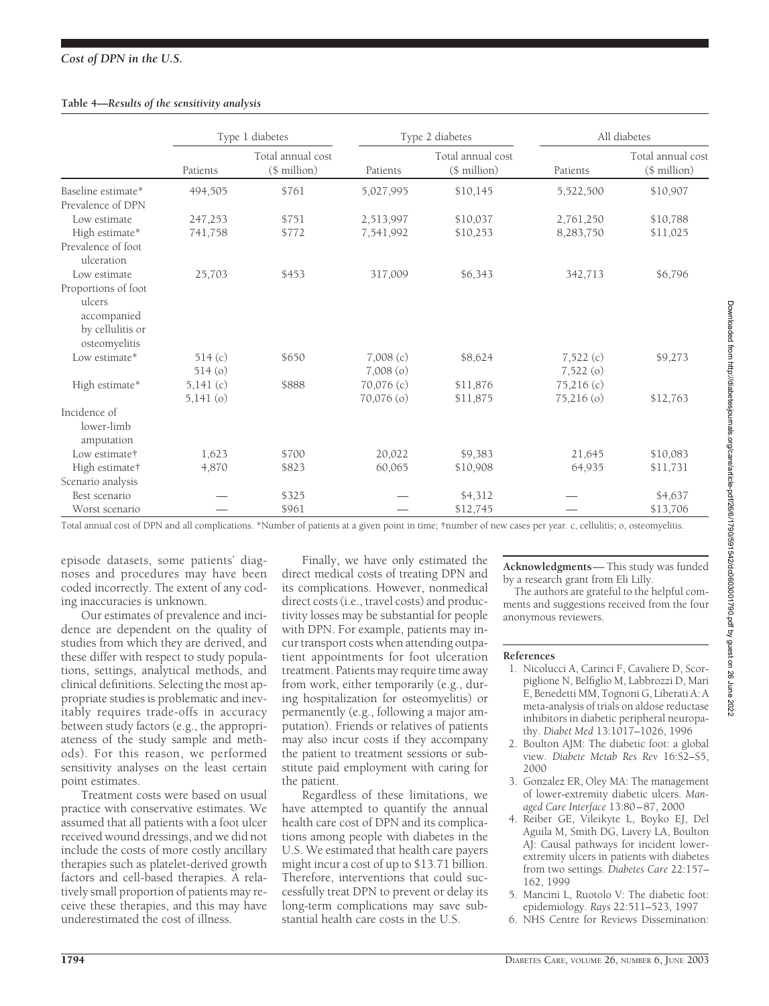# *Cost of DPN in the U.S.*

| Table 4-Results of the sensitivity analysis |  |  |
|---------------------------------------------|--|--|
|                                             |  |  |

|                                                                                   | Type 1 diabetes |                                   | Type 2 diabetes |                                   | All diabetes |                                   |
|-----------------------------------------------------------------------------------|-----------------|-----------------------------------|-----------------|-----------------------------------|--------------|-----------------------------------|
|                                                                                   | Patients        | Total annual cost<br>(\$ million) | Patients        | Total annual cost<br>(\$ million) | Patients     | Total annual cost<br>(\$ million) |
| Baseline estimate*<br>Prevalence of DPN                                           | 494,505         | \$761                             | 5,027,995       | \$10,145                          | 5,522,500    | \$10,907                          |
| Low estimate                                                                      | 247,253         | \$751                             | 2,513,997       | \$10,037                          | 2,761,250    | \$10,788                          |
| High estimate*                                                                    | 741,758         | \$772                             | 7,541,992       | \$10,253                          | 8,283,750    | \$11,025                          |
| Prevalence of foot<br>ulceration                                                  |                 |                                   |                 |                                   |              |                                   |
| Low estimate                                                                      | 25,703          | \$453                             | 317,009         | \$6,343                           | 342,713      | \$6,796                           |
| Proportions of foot<br>ulcers<br>accompanied<br>by cellulitis or<br>osteomyelitis |                 |                                   |                 |                                   |              |                                   |
| Low estimate*                                                                     | 514(c)          | \$650                             | 7,008(c)        | \$8,624                           | 7,522(c)     | \$9,273                           |
|                                                                                   | 514(0)          |                                   | $7,008$ (o)     |                                   | $7,522$ (o)  |                                   |
| High estimate*                                                                    | 5,141(c)        | \$888                             | 70,076(c)       | \$11,876                          | 75,216(c)    |                                   |
|                                                                                   | $5,141$ (o)     |                                   | $70,076$ (o)    | \$11,875                          | $75,216$ (o) | \$12,763                          |
| Incidence of<br>lower-limb<br>amputation                                          |                 |                                   |                 |                                   |              |                                   |
| Low estimate†                                                                     | 1,623           | \$700                             | 20,022          | \$9,383                           | 21,645       | \$10,083                          |
| High estimate†                                                                    | 4,870           | \$823                             | 60,065          | \$10,908                          | 64,935       | \$11,731                          |
| Scenario analysis                                                                 |                 |                                   |                 |                                   |              |                                   |
| Best scenario                                                                     |                 | \$325                             |                 | \$4,312                           |              | \$4,637                           |
| Worst scenario                                                                    |                 | \$961                             |                 | \$12,745                          |              | \$13,706                          |

Total annual cost of DPN and all complications. \*Number of patients at a given point in time; †number of new cases per year. c, cellulitis; o, osteomyelitis.

episode datasets, some patients' diagnoses and procedures may have been coded incorrectly. The extent of any coding inaccuracies is unknown.

Our estimates of prevalence and incidence are dependent on the quality of studies from which they are derived, and these differ with respect to study populations, settings, analytical methods, and clinical definitions. Selecting the most appropriate studies is problematic and inevitably requires trade-offs in accuracy between study factors (e.g., the appropriateness of the study sample and methods). For this reason, we performed sensitivity analyses on the least certain point estimates.

Treatment costs were based on usual practice with conservative estimates. We assumed that all patients with a foot ulcer received wound dressings, and we did not include the costs of more costly ancillary therapies such as platelet-derived growth factors and cell-based therapies. A relatively small proportion of patients may receive these therapies, and this may have underestimated the cost of illness.

Finally, we have only estimated the direct medical costs of treating DPN and its complications. However, nonmedical direct costs (i.e., travel costs) and productivity losses may be substantial for people with DPN. For example, patients may incur transport costs when attending outpatient appointments for foot ulceration treatment. Patients may require time away from work, either temporarily (e.g., during hospitalization for osteomyelitis) or permanently (e.g., following a major amputation). Friends or relatives of patients may also incur costs if they accompany the patient to treatment sessions or substitute paid employment with caring for the patient.

Regardless of these limitations, we have attempted to quantify the annual health care cost of DPN and its complications among people with diabetes in the U.S. We estimated that health care payers might incur a cost of up to \$13.71 billion. Therefore, interventions that could successfully treat DPN to prevent or delay its long-term complications may save substantial health care costs in the U.S.

**Acknowledgments**— This study was funded by a research grant from Eli Lilly.

The authors are grateful to the helpful comments and suggestions received from the four anonymous reviewers.

#### **References**

- 1. Nicolucci A, Carinci F, Cavaliere D, Scorpiglione N, Belfiglio M, Labbrozzi D, Mari E, Benedetti MM, Tognoni G, Liberati A: A meta-analysis of trials on aldose reductase inhibitors in diabetic peripheral neuropathy. *Diabet Med* 13:1017–1026, 1996
- 2. Boulton AJM: The diabetic foot: a global view. *Diabete Metab Res Rev* 16:S2–S5, 2000
- 3. Gonzalez ER, Oley MA: The management of lower-extremity diabetic ulcers. *Managed Care Interface* 13:80–87, 2000
- 4. Reiber GE, Vileikyte L, Boyko EJ, Del Aguila M, Smith DG, Lavery LA, Boulton AJ: Causal pathways for incident lowerextremity ulcers in patients with diabetes from two settings. *Diabetes Care* 22:157– 162, 1999
- 5. Mancini L, Ruotolo V: The diabetic foot: epidemiology. *Rays* 22:511–523, 1997
- 6. NHS Centre for Reviews Dissemination: